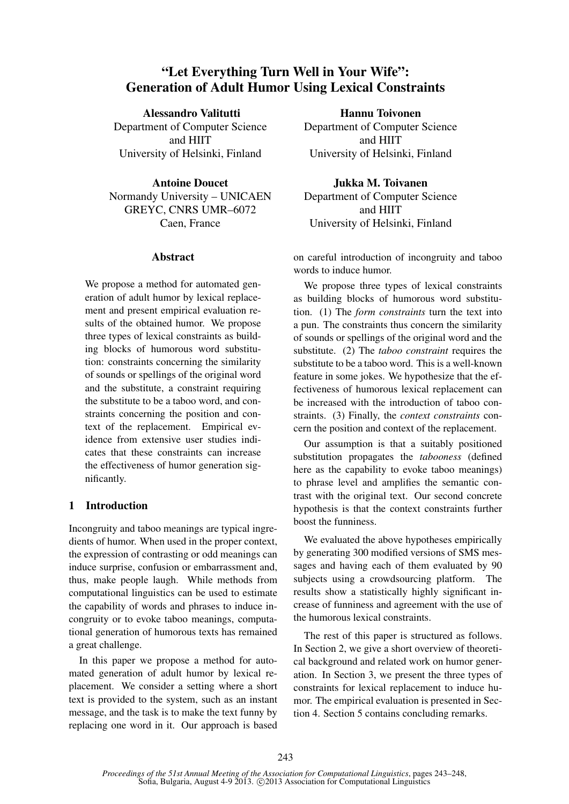# "Let Everything Turn Well in Your Wife": Generation of Adult Humor Using Lexical Constraints

### Alessandro Valitutti

Department of Computer Science and HIIT University of Helsinki, Finland

### Antoine Doucet

Normandy University – UNICAEN GREYC, CNRS UMR–6072 Caen, France

# Abstract

We propose a method for automated generation of adult humor by lexical replacement and present empirical evaluation results of the obtained humor. We propose three types of lexical constraints as building blocks of humorous word substitution: constraints concerning the similarity of sounds or spellings of the original word and the substitute, a constraint requiring the substitute to be a taboo word, and constraints concerning the position and context of the replacement. Empirical evidence from extensive user studies indicates that these constraints can increase the effectiveness of humor generation significantly.

# 1 Introduction

Incongruity and taboo meanings are typical ingredients of humor. When used in the proper context, the expression of contrasting or odd meanings can induce surprise, confusion or embarrassment and, thus, make people laugh. While methods from computational linguistics can be used to estimate the capability of words and phrases to induce incongruity or to evoke taboo meanings, computational generation of humorous texts has remained a great challenge.

In this paper we propose a method for automated generation of adult humor by lexical replacement. We consider a setting where a short text is provided to the system, such as an instant message, and the task is to make the text funny by replacing one word in it. Our approach is based

Hannu Toivonen Department of Computer Science and HIIT University of Helsinki, Finland

Jukka M. Toivanen Department of Computer Science and HIIT University of Helsinki, Finland

on careful introduction of incongruity and taboo words to induce humor.

We propose three types of lexical constraints as building blocks of humorous word substitution. (1) The *form constraints* turn the text into a pun. The constraints thus concern the similarity of sounds or spellings of the original word and the substitute. (2) The *taboo constraint* requires the substitute to be a taboo word. This is a well-known feature in some jokes. We hypothesize that the effectiveness of humorous lexical replacement can be increased with the introduction of taboo constraints. (3) Finally, the *context constraints* concern the position and context of the replacement.

Our assumption is that a suitably positioned substitution propagates the *tabooness* (defined here as the capability to evoke taboo meanings) to phrase level and amplifies the semantic contrast with the original text. Our second concrete hypothesis is that the context constraints further boost the funniness.

We evaluated the above hypotheses empirically by generating 300 modified versions of SMS messages and having each of them evaluated by 90 subjects using a crowdsourcing platform. The results show a statistically highly significant increase of funniness and agreement with the use of the humorous lexical constraints.

The rest of this paper is structured as follows. In Section 2, we give a short overview of theoretical background and related work on humor generation. In Section 3, we present the three types of constraints for lexical replacement to induce humor. The empirical evaluation is presented in Section 4. Section 5 contains concluding remarks.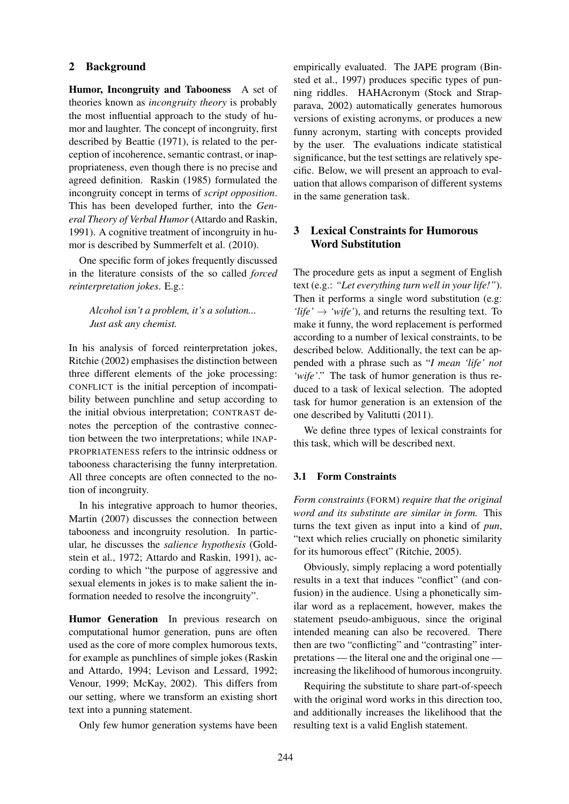### 2 Background

Humor, Incongruity and Tabooness A set of theories known as *incongruity theory* is probably the most influential approach to the study of humor and laughter. The concept of incongruity, first described by Beattie (1971), is related to the perception of incoherence, semantic contrast, or inappropriateness, even though there is no precise and agreed definition. Raskin (1985) formulated the incongruity concept in terms of *script opposition*. This has been developed further, into the *General Theory of Verbal Humor* (Attardo and Raskin, 1991). A cognitive treatment of incongruity in humor is described by Summerfelt et al. (2010).

One specific form of jokes frequently discussed in the literature consists of the so called *forced reinterpretation jokes*. E.g.:

## *Alcohol isn't a problem, it's a solution... Just ask any chemist.*

In his analysis of forced reinterpretation jokes, Ritchie (2002) emphasises the distinction between three different elements of the joke processing: CONFLICT is the initial perception of incompatibility between punchline and setup according to the initial obvious interpretation; CONTRAST denotes the perception of the contrastive connection between the two interpretations; while INAP-PROPRIATENESS refers to the intrinsic oddness or tabooness characterising the funny interpretation. All three concepts are often connected to the notion of incongruity.

In his integrative approach to humor theories, Martin (2007) discusses the connection between tabooness and incongruity resolution. In particular, he discusses the *salience hypothesis* (Goldstein et al., 1972; Attardo and Raskin, 1991), according to which "the purpose of aggressive and sexual elements in jokes is to make salient the information needed to resolve the incongruity".

Humor Generation In previous research on computational humor generation, puns are often used as the core of more complex humorous texts, for example as punchlines of simple jokes (Raskin and Attardo, 1994; Levison and Lessard, 1992; Venour, 1999; McKay, 2002). This differs from our setting, where we transform an existing short text into a punning statement.

Only few humor generation systems have been

empirically evaluated. The JAPE program (Binsted et al., 1997) produces specific types of punning riddles. HAHAcronym (Stock and Strapparava, 2002) automatically generates humorous versions of existing acronyms, or produces a new funny acronym, starting with concepts provided by the user. The evaluations indicate statistical significance, but the test settings are relatively specific. Below, we will present an approach to evaluation that allows comparison of different systems in the same generation task.

# 3 Lexical Constraints for Humorous Word Substitution

The procedure gets as input a segment of English text (e.g.: *"Let everything turn well in your life!"*). Then it performs a single word substitution (e.g: *'life'*  $\rightarrow$  '*wife'*), and returns the resulting text. To make it funny, the word replacement is performed according to a number of lexical constraints, to be described below. Additionally, the text can be appended with a phrase such as "*I mean 'life' not 'wife'*." The task of humor generation is thus reduced to a task of lexical selection. The adopted task for humor generation is an extension of the one described by Valitutti (2011).

We define three types of lexical constraints for this task, which will be described next.

### 3.1 Form Constraints

*Form constraints* (FORM) *require that the original word and its substitute are similar in form.* This turns the text given as input into a kind of *pun*, "text which relies crucially on phonetic similarity for its humorous effect" (Ritchie, 2005).

Obviously, simply replacing a word potentially results in a text that induces "conflict" (and confusion) in the audience. Using a phonetically similar word as a replacement, however, makes the statement pseudo-ambiguous, since the original intended meaning can also be recovered. There then are two "conflicting" and "contrasting" interpretations — the literal one and the original one increasing the likelihood of humorous incongruity.

Requiring the substitute to share part-of-speech with the original word works in this direction too, and additionally increases the likelihood that the resulting text is a valid English statement.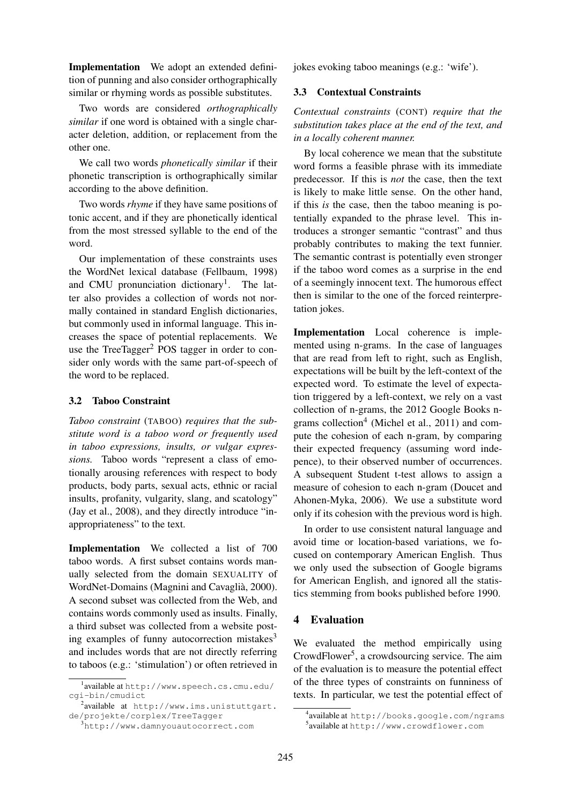Implementation We adopt an extended definition of punning and also consider orthographically similar or rhyming words as possible substitutes.

Two words are considered *orthographically similar* if one word is obtained with a single character deletion, addition, or replacement from the other one.

We call two words *phonetically similar* if their phonetic transcription is orthographically similar according to the above definition.

Two words *rhyme* if they have same positions of tonic accent, and if they are phonetically identical from the most stressed syllable to the end of the word.

Our implementation of these constraints uses the WordNet lexical database (Fellbaum, 1998) and CMU pronunciation dictionary<sup>1</sup>. The latter also provides a collection of words not normally contained in standard English dictionaries, but commonly used in informal language. This increases the space of potential replacements. We use the TreeTagger $^2$  POS tagger in order to consider only words with the same part-of-speech of the word to be replaced.

### 3.2 Taboo Constraint

*Taboo constraint* (TABOO) *requires that the substitute word is a taboo word or frequently used in taboo expressions, insults, or vulgar expressions.* Taboo words "represent a class of emotionally arousing references with respect to body products, body parts, sexual acts, ethnic or racial insults, profanity, vulgarity, slang, and scatology" (Jay et al., 2008), and they directly introduce "inappropriateness" to the text.

Implementation We collected a list of 700 taboo words. A first subset contains words manually selected from the domain SEXUALITY of WordNet-Domains (Magnini and Cavaglia, 2000). ` A second subset was collected from the Web, and contains words commonly used as insults. Finally, a third subset was collected from a website posting examples of funny autocorrection mistakes $3$ and includes words that are not directly referring to taboos (e.g.: 'stimulation') or often retrieved in jokes evoking taboo meanings (e.g.: 'wife').

### 3.3 Contextual Constraints

*Contextual constraints* (CONT) *require that the substitution takes place at the end of the text, and in a locally coherent manner.*

By local coherence we mean that the substitute word forms a feasible phrase with its immediate predecessor. If this is *not* the case, then the text is likely to make little sense. On the other hand, if this *is* the case, then the taboo meaning is potentially expanded to the phrase level. This introduces a stronger semantic "contrast" and thus probably contributes to making the text funnier. The semantic contrast is potentially even stronger if the taboo word comes as a surprise in the end of a seemingly innocent text. The humorous effect then is similar to the one of the forced reinterpretation jokes.

Implementation Local coherence is implemented using n-grams. In the case of languages that are read from left to right, such as English, expectations will be built by the left-context of the expected word. To estimate the level of expectation triggered by a left-context, we rely on a vast collection of n-grams, the 2012 Google Books ngrams collection<sup>4</sup> (Michel et al., 2011) and compute the cohesion of each n-gram, by comparing their expected frequency (assuming word indepence), to their observed number of occurrences. A subsequent Student t-test allows to assign a measure of cohesion to each n-gram (Doucet and Ahonen-Myka, 2006). We use a substitute word only if its cohesion with the previous word is high.

In order to use consistent natural language and avoid time or location-based variations, we focused on contemporary American English. Thus we only used the subsection of Google bigrams for American English, and ignored all the statistics stemming from books published before 1990.

### 4 Evaluation

We evaluated the method empirically using CrowdFlower<sup>5</sup>, a crowdsourcing service. The aim of the evaluation is to measure the potential effect of the three types of constraints on funniness of texts. In particular, we test the potential effect of

<sup>1</sup> available at http://www.speech.cs.cmu.edu/ cgi-bin/cmudict

 $^2$ available at http://www.ims.unistuttgart. de/projekte/corplex/TreeTagger

<sup>3</sup>http://www.damnyouautocorrect.com

<sup>4</sup> available at http://books.google.com/ngrams 5 available at http://www.crowdflower.com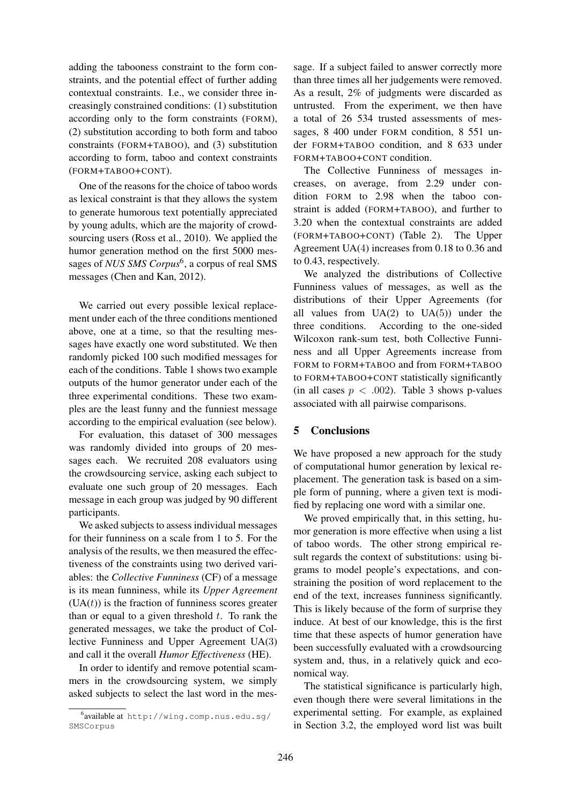adding the tabooness constraint to the form constraints, and the potential effect of further adding contextual constraints. I.e., we consider three increasingly constrained conditions: (1) substitution according only to the form constraints (FORM), (2) substitution according to both form and taboo constraints (FORM+TABOO), and (3) substitution according to form, taboo and context constraints (FORM+TABOO+CONT).

One of the reasons for the choice of taboo words as lexical constraint is that they allows the system to generate humorous text potentially appreciated by young adults, which are the majority of crowdsourcing users (Ross et al., 2010). We applied the humor generation method on the first 5000 messages of *NUS SMS Corpus*<sup>6</sup>, a corpus of real SMS messages (Chen and Kan, 2012).

We carried out every possible lexical replacement under each of the three conditions mentioned above, one at a time, so that the resulting messages have exactly one word substituted. We then randomly picked 100 such modified messages for each of the conditions. Table 1 shows two example outputs of the humor generator under each of the three experimental conditions. These two examples are the least funny and the funniest message according to the empirical evaluation (see below).

For evaluation, this dataset of 300 messages was randomly divided into groups of 20 messages each. We recruited 208 evaluators using the crowdsourcing service, asking each subject to evaluate one such group of 20 messages. Each message in each group was judged by 90 different participants.

We asked subjects to assess individual messages for their funniness on a scale from 1 to 5. For the analysis of the results, we then measured the effectiveness of the constraints using two derived variables: the *Collective Funniness* (CF) of a message is its mean funniness, while its *Upper Agreement*  $(UA(t))$  is the fraction of funniness scores greater than or equal to a given threshold  $t$ . To rank the generated messages, we take the product of Collective Funniness and Upper Agreement UA(3) and call it the overall *Humor Effectiveness* (HE).

In order to identify and remove potential scammers in the crowdsourcing system, we simply asked subjects to select the last word in the message. If a subject failed to answer correctly more than three times all her judgements were removed. As a result, 2% of judgments were discarded as untrusted. From the experiment, we then have a total of 26 534 trusted assessments of messages, 8 400 under FORM condition, 8 551 under FORM+TABOO condition, and 8 633 under FORM+TABOO+CONT condition.

The Collective Funniness of messages increases, on average, from 2.29 under condition FORM to 2.98 when the taboo constraint is added (FORM+TABOO), and further to 3.20 when the contextual constraints are added (FORM+TABOO+CONT) (Table 2). The Upper Agreement UA(4) increases from 0.18 to 0.36 and to 0.43, respectively.

We analyzed the distributions of Collective Funniness values of messages, as well as the distributions of their Upper Agreements (for all values from  $UA(2)$  to  $UA(5)$  under the three conditions. According to the one-sided Wilcoxon rank-sum test, both Collective Funniness and all Upper Agreements increase from FORM to FORM+TABOO and from FORM+TABOO to FORM+TABOO+CONT statistically significantly (in all cases  $p < .002$ ). Table 3 shows p-values associated with all pairwise comparisons.

# 5 Conclusions

We have proposed a new approach for the study of computational humor generation by lexical replacement. The generation task is based on a simple form of punning, where a given text is modified by replacing one word with a similar one.

We proved empirically that, in this setting, humor generation is more effective when using a list of taboo words. The other strong empirical result regards the context of substitutions: using bigrams to model people's expectations, and constraining the position of word replacement to the end of the text, increases funniness significantly. This is likely because of the form of surprise they induce. At best of our knowledge, this is the first time that these aspects of humor generation have been successfully evaluated with a crowdsourcing system and, thus, in a relatively quick and economical way.

The statistical significance is particularly high, even though there were several limitations in the experimental setting. For example, as explained in Section 3.2, the employed word list was built

<sup>6</sup> available at http://wing.comp.nus.edu.sg/ SMSCorpus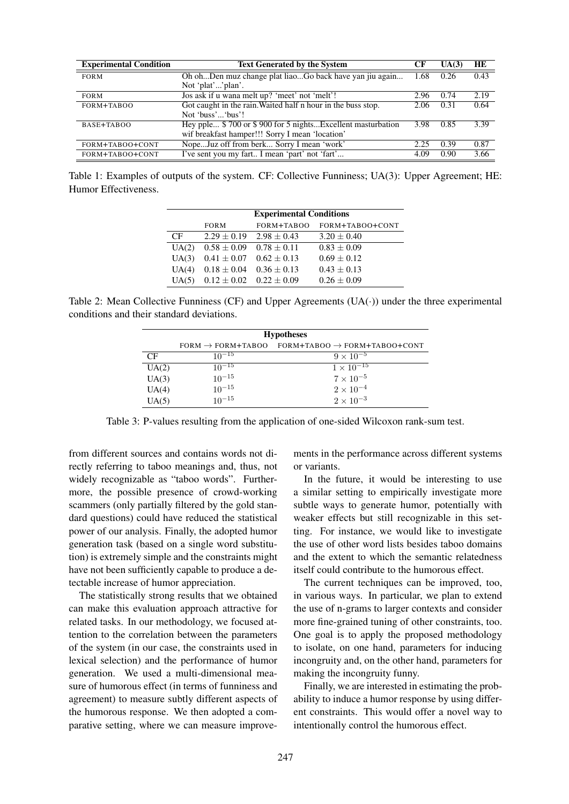| <b>Experimental Condition</b> | <b>Text Generated by the System</b>                          | СF   | UA(3) | HE   |
|-------------------------------|--------------------------------------------------------------|------|-------|------|
| <b>FORM</b>                   | Oh ohDen muz change plat liaoGo back have yan jiu again      |      | 0.26  | 0.43 |
|                               | Not 'plat''plan'.                                            |      |       |      |
| <b>FORM</b>                   | Jos ask if u wana melt up? 'meet' not 'melt'!                |      | 0.74  | 2.19 |
| FORM+TABOO                    | Got caught in the rain. Waited half n hour in the buss stop. | 2.06 | 0.31  | 0.64 |
|                               | Not 'buss' 'bus'!                                            |      |       |      |
| BASE+TABOO                    | Hey pple \$700 or \$900 for 5 nightsExcellent masturbation   | 3.98 | 0.85  | 3.39 |
|                               | wif breakfast hamper!!! Sorry I mean 'location'              |      |       |      |
| FORM+TABOO+CONT               | NopeJuz off from berk Sorry I mean 'work'                    | 2.25 | 0.39  | 0.87 |
| FORM+TABOO+CONT               | I've sent you my fart I mean 'part' not 'fart'               | 4.09 | 0.90  | 3.66 |

Table 1: Examples of outputs of the system. CF: Collective Funniness; UA(3): Upper Agreement; HE: Humor Effectiveness.

|       | <b>Experimental Conditions</b>  |                                 |                 |  |  |
|-------|---------------------------------|---------------------------------|-----------------|--|--|
|       | <b>FORM</b>                     | FORM+TABOO                      | FORM+TABOO+CONT |  |  |
| CF.   |                                 | $2.29 \pm 0.19$ $2.98 \pm 0.43$ | $3.20 \pm 0.40$ |  |  |
| UA(2) | $0.58 \pm 0.09$ $0.78 \pm 0.11$ |                                 | $0.83 + 0.09$   |  |  |
| UA(3) | $0.41 \pm 0.07$ $0.62 \pm 0.13$ |                                 | $0.69 + 0.12$   |  |  |
| UA(4) | $0.18 \pm 0.04$                 | $0.36 \pm 0.13$                 | $0.43 + 0.13$   |  |  |
| UA(5) |                                 | $0.12 \pm 0.02$ $0.22 \pm 0.09$ | $0.26 \pm 0.09$ |  |  |

Table 2: Mean Collective Funniness (CF) and Upper Agreements  $(UA(·))$  under the three experimental conditions and their standard deviations.

| <b>Hypotheses</b> |                                 |                                              |  |  |  |
|-------------------|---------------------------------|----------------------------------------------|--|--|--|
|                   | $FORM \rightarrow FORM+TABLEOO$ | $FORM+TABLEOO \rightarrow FORM+TABLEOO+CONT$ |  |  |  |
| $\overline{C}$ F  | $10^{-15}$                      | $9 \times 10^{-5}$                           |  |  |  |
| UA(2)             | $10^{-15}$                      | $1 \times 10^{-15}$                          |  |  |  |
| UA(3)             | $10^{-15}$                      | $7 \times 10^{-5}$                           |  |  |  |
| UA(4)             | $10^{-15}$                      | $2 \times 10^{-4}$                           |  |  |  |
| UA(5)             | $10^{-15}$                      | $2\times10^{-3}$                             |  |  |  |

Table 3: P-values resulting from the application of one-sided Wilcoxon rank-sum test.

from different sources and contains words not directly referring to taboo meanings and, thus, not widely recognizable as "taboo words". Furthermore, the possible presence of crowd-working scammers (only partially filtered by the gold standard questions) could have reduced the statistical power of our analysis. Finally, the adopted humor generation task (based on a single word substitution) is extremely simple and the constraints might have not been sufficiently capable to produce a detectable increase of humor appreciation.

The statistically strong results that we obtained can make this evaluation approach attractive for related tasks. In our methodology, we focused attention to the correlation between the parameters of the system (in our case, the constraints used in lexical selection) and the performance of humor generation. We used a multi-dimensional measure of humorous effect (in terms of funniness and agreement) to measure subtly different aspects of the humorous response. We then adopted a comparative setting, where we can measure improve-

ments in the performance across different systems or variants.

In the future, it would be interesting to use a similar setting to empirically investigate more subtle ways to generate humor, potentially with weaker effects but still recognizable in this setting. For instance, we would like to investigate the use of other word lists besides taboo domains and the extent to which the semantic relatedness itself could contribute to the humorous effect.

The current techniques can be improved, too, in various ways. In particular, we plan to extend the use of n-grams to larger contexts and consider more fine-grained tuning of other constraints, too. One goal is to apply the proposed methodology to isolate, on one hand, parameters for inducing incongruity and, on the other hand, parameters for making the incongruity funny.

Finally, we are interested in estimating the probability to induce a humor response by using different constraints. This would offer a novel way to intentionally control the humorous effect.